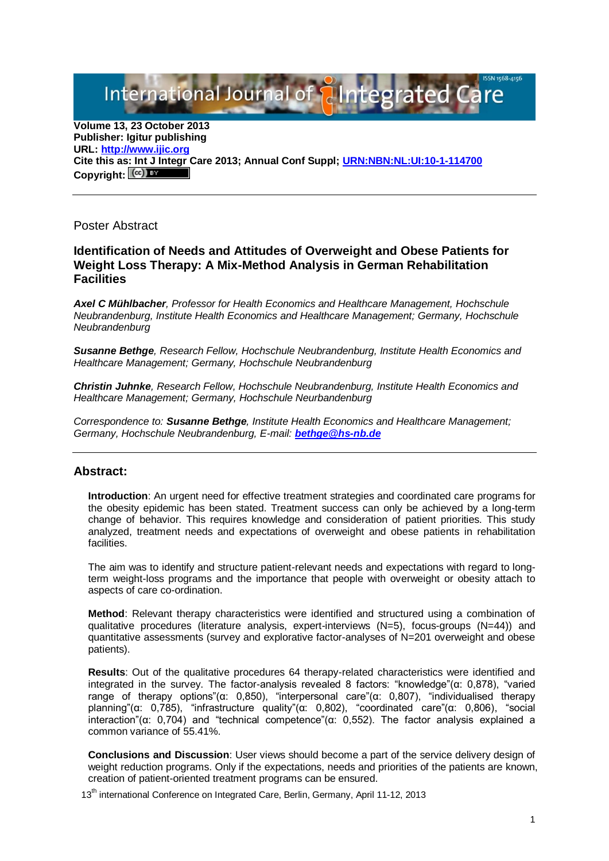International Journal of **Plntegrated** 

**Volume 13, 23 October 2013 Publisher: Igitur publishing URL[: http://www.ijic.org](http://www.ijic.org/) Cite this as: Int J Integr Care 2013; Annual Conf Suppl; [URN:NBN:NL:UI:10-1-114700](http://persistent-identifier.nl/?identifier=URN:NBN:NL:UI:10-1-114700)** Copyright:  $(\mathbb{C}\mathbb{C})$ 

Poster Abstract

## **Identification of Needs and Attitudes of Overweight and Obese Patients for Weight Loss Therapy: A Mix-Method Analysis in German Rehabilitation Facilities**

*Axel C Mühlbacher, Professor for Health Economics and Healthcare Management, Hochschule Neubrandenburg, Institute Health Economics and Healthcare Management; Germany, Hochschule Neubrandenburg*

*Susanne Bethge, Research Fellow, Hochschule Neubrandenburg, Institute Health Economics and Healthcare Management; Germany, Hochschule Neubrandenburg*

*Christin Juhnke, Research Fellow, Hochschule Neubrandenburg, Institute Health Economics and Healthcare Management; Germany, Hochschule Neurbandenburg*

*Correspondence to: Susanne Bethge, Institute Health Economics and Healthcare Management; Germany, Hochschule Neubrandenburg, E-mail: [bethge@hs-nb.de](mailto:bethge@hs-nb.de)*

## **Abstract:**

**Introduction**: An urgent need for effective treatment strategies and coordinated care programs for the obesity epidemic has been stated. Treatment success can only be achieved by a long-term change of behavior. This requires knowledge and consideration of patient priorities. This study analyzed, treatment needs and expectations of overweight and obese patients in rehabilitation facilities.

The aim was to identify and structure patient-relevant needs and expectations with regard to longterm weight-loss programs and the importance that people with overweight or obesity attach to aspects of care co-ordination.

**Method**: Relevant therapy characteristics were identified and structured using a combination of qualitative procedures (literature analysis, expert-interviews (N=5), focus-groups (N=44)) and quantitative assessments (survey and explorative factor-analyses of N=201 overweight and obese patients).

**Results**: Out of the qualitative procedures 64 therapy-related characteristics were identified and integrated in the survey. The factor-analysis revealed 8 factors: "knowledge"(α: 0,878), "varied range of therapy options"(α: 0,850), "interpersonal care"(α: 0,807), "individualised therapy planning"(α: 0,785), "infrastructure quality"(α: 0,802), "coordinated care"(α: 0,806), "social interaction"(α: 0,704) and "technical competence"(α: 0,552). The factor analysis explained a common variance of 55.41%.

**Conclusions and Discussion**: User views should become a part of the service delivery design of weight reduction programs. Only if the expectations, needs and priorities of the patients are known, creation of patient-oriented treatment programs can be ensured.

13<sup>th</sup> international Conference on Integrated Care, Berlin, Germany, April 11-12, 2013